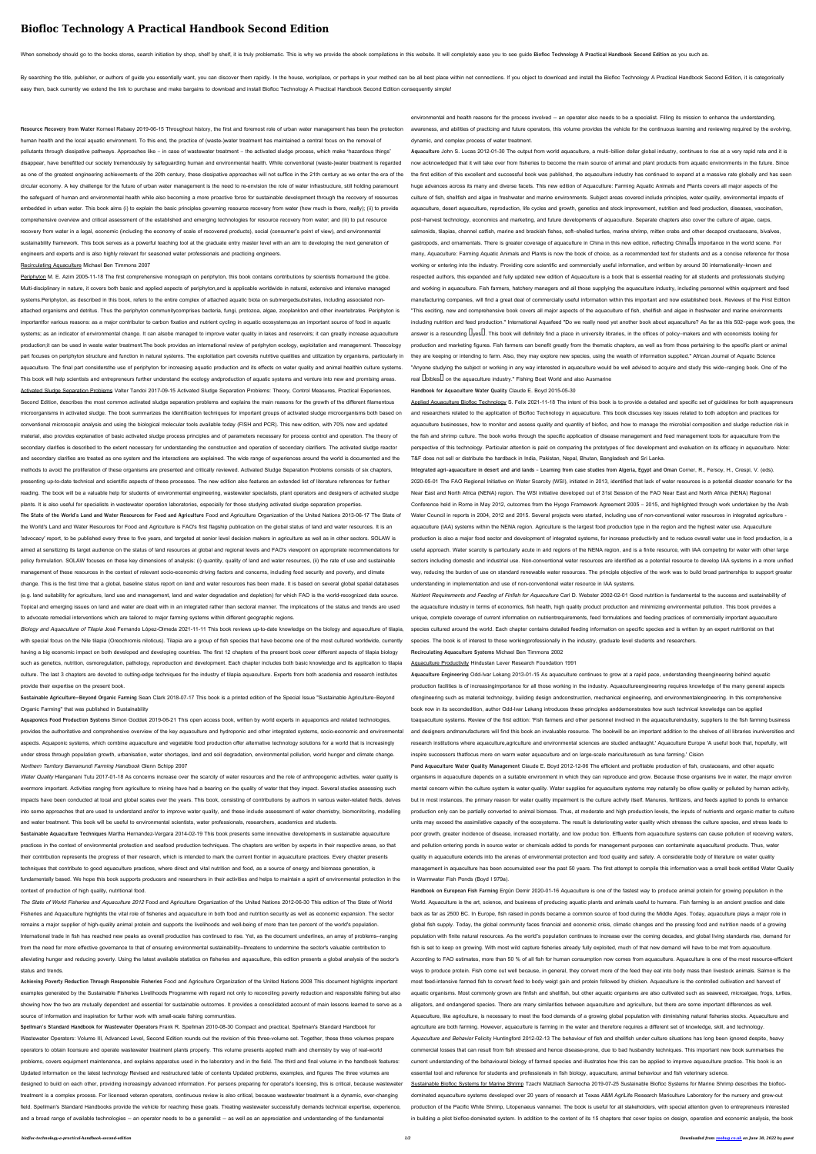## **Biofloc Technology A Practical Handbook Second Edition**

When somebody should go to the books stores, search initiation by shop, shelf by shelf, it is truly problematic. This is why we provide the ebook compilations in this website. It will completely ease you to see guide Biofl

By searching the title, publisher, or authors of guide you essentially want, you can discover them rapidly. In the house, workplace, or perhaps in your method can be all best place within net connections. If you object to easy then, back currently we extend the link to purchase and make bargains to download and install Biofloc Technology A Practical Handbook Second Edition consequently simple!

**Resource Recovery from Water** Korneel Rabaey 2019-06-15 Throughout history, the first and foremost role of urban water management has been the protection human health and the local aquatic environment. To this end, the practice of (waste-)water treatment has maintained a central focus on the removal of pollutants through dissipative pathways. Approaches like – in case of wastewater treatment – the activated sludge process, which make 'hazardous things' disappear, have benefitted our society tremendously by safeguarding human and environmental health. While conventional (waste-)water treatment is regarded as one of the greatest engineering achievements of the 20th century, these dissipative approaches will not suffice in the 21th century as we enter the era of the circular economy. A key challenge for the future of urban water management is the need to re-envision the role of water infrastructure, still holding paramount the safeguard of human and environmental health while also becoming a more proactive force for sustainable development through the recovery of resources embedded in urban water. This book aims (i) to explain the basic principles governing resource recovery from water (how much is there, really); (ii) to provide comprehensive overview and critical assessment of the established and emerging technologies for resource recovery from water; and (iii) to put resource recovery from water in a legal, economic (including the economy of scale of recovered products), social (consumer's point of view), and environmental sustainability framework. This book serves as a powerful teaching tool at the graduate entry master level with an aim to developing the next generation of engineers and experts and is also highly relevant for seasoned water professionals and practicing engineers.

Periphyton M. E. Azim 2005-11-18 The first comprehensive monograph on periphyton, this book contains contributions by scientists fromaround the globe. Multi-disciplinary in nature, it covers both basic and applied aspects of periphyton,and is applicable worldwide in natural, extensive and intensive managed systems.Periphyton, as described in this book, refers to the entire complex of attached aquatic biota on submergedsubstrates, including associated nonattached organisms and detritus. Thus the periphyton communitycomprises bacteria, fungi, protozoa, algae, zooplankton and other invertebrates. Periphyton is importantfor various reasons: as a major contributor to carbon fixation and nutrient cycling in aquatic ecosystems;as an important source of food in aquatic systems; as an indicator of environmental change. It can alsobe managed to improve water quality in lakes and reservoirs; it can greatly increase aquaculture production;it can be used in waste water treatment.The book provides an international review of periphyton ecology, exploitation and management. Theecology part focuses on periphyton structure and function in natural systems. The exploitation part coversits nutritive qualities and utilization by organisms, particularly in aquaculture. The final part considersthe use of periphyton for increasing aquatic production and its effects on water quality and animal healthin culture systems. This book will help scientists and entrepreneurs further understand the ecology andproduction of aquatic systems and venture into new and promising areas. Activated Sludge Separation Problems Valter Tandoi 2017-09-15 Activated Sludge Separation Problems: Theory, Control Measures, Practical Experiences, Second Edition, describes the most common activated sludge separation problems and explains the main reasons for the growth of the different filamentous microorganisms in activated sludge. The book summarizes the identification techniques for important groups of activated sludge microorganisms both based on conventional microscopic analysis and using the biological molecular tools available today (FISH and PCR). This new edition, with 70% new and updated

## Recirculating Aquaculture Michael Ben Timmons 2007

Biology and Aquaculture of Tilapia José Fernando López-Olmeda 2021-11-11 This book reviews up-to-date knowledge on the biology and aquaculture of tilapia, with special focus on the Nile tilapia (Oreochromis niloticus). Tilapia are a group of fish species that have become one of the most cultured worldwide, currently having a big economic impact on both developed and developing countries. The first 12 chapters of the present book cover different aspects of tilapia biology such as genetics, nutrition, osmoregulation, pathology, reproduction and development. Each chapter includes both basic knowledge and its application to tilapia culture. The last 3 chapters are devoted to cutting-edge techniques for the industry of tilapia aquaculture. Experts from both academia and research institutes provide their expertise on the present book.

Water Quality Hlanganani Tutu 2017-01-18 As concerns increase over the scarcity of water resources and the role of anthropogenic activities, water quality is evermore important. Activities ranging from agriculture to mining have had a bearing on the quality of water that they impact. Several studies assessing such impacts have been conducted at local and global scales over the years. This book, consisting of contributions by authors in various water-related fields, delves into some approaches that are used to understand and/or to improve water quality, and these include assessment of water chemistry, biomonitoring, modelling and water treatment. This book will be useful to environmental scientists, water professionals, researchers, academics and students.

**Sustainable Aquaculture Techniques** Martha Hernandez-Vergara 2014-02-19 This book presents some innovative developments in sustainable aquaculture practices in the context of environmental protection and seafood production techniques. The chapters are written by experts in their respective areas, so that their contribution represents the progress of their research, which is intended to mark the current frontier in aquaculture practices. Every chapter presents techniques that contribute to good aquaculture practices, where direct and vital nutrition and food, as a source of energy and biomass generation, is

material, also provides explanation of basic activated sludge process principles and of parameters necessary for process control and operation. The theory of secondary clarifies is described to the extent necessary for understanding the construction and operation of secondary clarifiers. The activated sludge reactor and secondary clarifies are treated as one system and the interactions are explained. The wide range of experiences around the world is documented and the methods to avoid the proliferation of these organisms are presented and critically reviewed. Activated Sludge Separation Problems consists of six chapters, presenting up-to-date technical and scientific aspects of these processes. The new edition also features an extended list of literature references for further reading. The book will be a valuable help for students of environmental engineering, wastewater specialists, plant operators and designers of activated sludge plants. It is also useful for specialists in wastewater operation laboratories, especially for those studying activated sludge separation properties.

The State of World Fisheries and Aquaculture 2012 Food and Agriculture Organization of the United Nations 2012-06-30 This edition of The State of World Fisheries and Aquaculture highlights the vital role of fisheries and aquaculture in both food and nutrition security as well as economic expansion. The sector remains a major supplier of high-quality animal protein and supports the livelihoods and well-being of more than ten percent of the world's population. International trade in fish has reached new peaks as overall production has continued to rise. Yet, as the document underlines, an array of problems--ranging from the need for more effective governance to that of ensuring environmental sustainability--threatens to undermine the sector's valuable contribution to alleviating hunger and reducing poverty. Using the latest available statistics on fisheries and aquaculture, this edition presents a global analysis of the sector's status and trends.

**The State of the World's Land and Water Resources for Food and Agriculture** Food and Agriculture Organization of the United Nations 2013-06-17 The State of the World's Land and Water Resources for Food and Agriculture is FAO's first flagship publication on the global status of land and water resources. It is an 'advocacy' report, to be published every three to five years, and targeted at senior level decision makers in agriculture as well as in other sectors. SOLAW is aimed at sensitizing its target audience on the status of land resources at global and regional levels and FAO's viewpoint on appropriate recommendations for policy formulation. SOLAW focuses on these key dimensions of analysis: (i) quantity, quality of land and water resources, (ii) the rate of use and sustainable management of these resources in the context of relevant socio-economic driving factors and concerns, including food security and poverty, and climate change. This is the first time that a global, baseline status report on land and water resources has been made. It is based on several global spatial databases (e.g. land suitability for agriculture, land use and management, land and water degradation and depletion) for which FAO is the world-recognized data source. Topical and emerging issues on land and water are dealt with in an integrated rather than sectoral manner. The implications of the status and trends are used to advocate remedial interventions which are tailored to major farming systems within different geographic regions.

**Aquaculture** John S. Lucas 2012-01-30 The output from world aquaculture, a multi–billion dollar global industry, continues to rise at a very rapid rate and it is now acknowledged that it will take over from fisheries to become the main source of animal and plant products from aquatic environments in the future. Since the first edition of this excellent and successful book was published, the aquaculture industry has continued to expand at a massive rate globally and has seen huge advances across its many and diverse facets. This new edition of Aquaculture: Farming Aquatic Animals and Plants covers all major aspects of the culture of fish, shellfish and algae in freshwater and marine environments. Subject areas covered include principles, water quality, environmental impacts of aquaculture, desert aquaculture, reproduction, life cycles and growth, genetics and stock improvement, nutrition and feed production, diseases, vaccination, post–harvest technology, economics and marketing, and future developments of aquaculture. Separate chapters also cover the culture of algae, carps, salmonids, tilapias, channel catfish, marine and brackish fishes, soft-shelled turtles, marine shrimp, mitten crabs and other decapod crustaceans, bivalves, gastropods, and ornamentals. There is greater coverage of aquaculture in China in this new edition, reflecting ChinaLs importance in the world scene. For many, Aquaculture: Farming Aquatic Animals and Plants is now the book of choice, as a recommended text for students and as a concise reference for those working or entering into the industry. Providing core scientific and commercially useful information, and written by around 30 internationally–known and respected authors, this expanded and fully updated new edition of Aquaculture is a book that is essential reading for all students and professionals studying and working in aquaculture. Fish farmers, hatchery managers and all those supplying the aquaculture industry, including personnel within equipment and feed manufacturing companies, will find a great deal of commercially useful information within this important and now established book. Reviews of the First Edition "This exciting, new and comprehensive book covers all major aspects of the aquaculture of fish, shellfish and algae in freshwater and marine environments including nutrition and feed production." International Aquafeed "Do we really need yet another book about aquaculture? As far as this 502–page work goes, the answer is a resounding  $\mu$ yes $\mu$ . This book will definitely find a place in university libraries, in the offices of policy–makers and with economists looking for production and marketing figures. Fish farmers can benefit greatly from the thematic chapters, as well as from those pertaining to the specific plant or animal they are keeping or intending to farm. Also, they may explore new species, using the wealth of information supplied." African Journal of Aquatic Science "Anyone studying the subject or working in any way interested in aquaculture would be well advised to acquire and study this wide–ranging book. One of the real UbiblesU on the aquaculture industry." Fishing Boat World and also Ausmarine

**Sustainable Agriculture–Beyond Organic Farming** Sean Clark 2018-07-17 This book is a printed edition of the Special Issue "Sustainable Agriculture–Beyond Organic Farming" that was published in Sustainability

**Aquaponics Food Production Systems** Simon Goddek 2019-06-21 This open access book, written by world experts in aquaponics and related technologies, provides the authoritative and comprehensive overview of the key aquaculture and hydroponic and other integrated systems, socio-economic and environmental aspects. Aquaponic systems, which combine aquaculture and vegetable food production offer alternative technology solutions for a world that is increasingly under stress through population growth, urbanisation, water shortages, land and soil degradation, environmental pollution, world hunger and climate change. Northern Territory Barramundi Farming Handbook Glenn Schipp 2007

the fish and shrimp culture. The book works through the specific application of disease management and feed management tools for aquaculture from th perspective of this technology. Particular attention is paid on comparing the prototypes of floc development and evaluation on its efficacy in aquaculture. Note: T&F does not sell or distribute the hardback in India, Pakistan, Nepal, Bhutan, Bangladesh and Sri Lanka.

fundamentally based. We hope this book supports producers and researchers in their activities and helps to maintain a spirit of environmental protection in the context of production of high quality, nutritional food.

**Achieving Poverty Reduction Through Responsible Fisheries** Food and Agriculture Organization of the United Nations 2008 This document highlights important examples generated by the Sustainable Fisheries Livelihoods Programme with regard not only to reconciling poverty reduction and responsible fishing but also showing how the two are mutually dependent and essential for sustainable outcomes. It provides a consolidated account of main lessons learned to serve as a source of information and inspiration for further work with small-scale fishing communities.

**Spellman's Standard Handbook for Wastewater Operators** Frank R. Spellman 2010-08-30 Compact and practical, Spellman's Standard Handbook for Wastewater Operators: Volume III, Advanced Level, Second Edition rounds out the revision of this three-volume set. Together, these three volumes prepare operators to obtain licensure and operate wastewater treatment plants properly. This volume presents applied math and chemistry by way of real-world problems, covers equipment maintenance, and explains apparatus used in the laboratory and in the field. The third and final volume in the handbook features: Updated information on the latest technology Revised and restructured table of contents Updated problems, examples, and figures The three volumes are designed to build on each other, providing increasingly advanced information. For persons preparing for operator's licensing, this is critical, because wastewater treatment is a complex process. For licensed veteran operators, continuous review is also critical, because wastewater treatment is a dynamic, ever-changing field. Spellman's Standard Handbooks provide the vehicle for reaching these goals. Treating wastewater successfully demands technical expertise, experience, and a broad range of available technologies — an operator needs to be a generalist — as well as an appreciation and understanding of the fundamental

environmental and health reasons for the process involved — an operator also needs to be a specialist. Filling its mission to enhance the understanding, awareness, and abilities of practicing and future operators, this volume provides the vehicle for the continuous learning and reviewing required by the evolving, dynamic, and complex process of water treatment.

## **Handbook for Aquaculture Water Quality** Claude E. Boyd 2015-05-30

Applied Aquaculture Biofloc Technology S. Felix 2021-11-18 The intent of this book is to provide a detailed and specific set of guidelines for both aquapreneurs and researchers related to the application of Biofloc Technology in aquaculture. This book discusses key issues related to both adoption and practices for aquaculture businesses, how to monitor and assess quality and quantity of biofloc, and how to manage the microbial composition and sludge reduction risk in

**Integrated agri-aquaculture in desert and arid lands - Learning from case studies from Algeria, Egypt and Oman** Corner, R., Fersoy, H., Crespi, V. (eds). 2020-05-01 The FAO Regional Initiative on Water Scarcity (WSI), initiated in 2013, identified that lack of water resources is a potential disaster scenario for the Near East and North Africa (NENA) region. The WSI initiative developed out of 31st Session of the FAO Near East and North Africa (NENA) Regional Conference held in Rome in May 2012, outcomes from the Hyogo Framework Agreement 2005 – 2015, and highlighted through work undertaken by the Arab Water Council in reports in 2004, 2012 and 2015. Several projects were started, including use of non-conventional water resources in integrated agriculture aquaculture (IAA) systems within the NENA region. Agriculture is the largest food production type in the region and the highest water use. Aquaculture production is also a major food sector and development of integrated systems, for increase productivity and to reduce overall water use in food production, is a useful approach. Water scarcity is particularly acute in arid regions of the NENA region, and is a finite resource, with IAA competing for water with other large sectors including domestic and industrial use. Non-conventional water resources are identified as a potential resource to develop IAA systems in a more unified way, reducing the burden of use on standard renewable water resources. The principle objective of the work was to build broad partnerships to support greater understanding in implementation and use of non-conventional water resource in IAA systems.

Nutrient Requirements and Feeding of Finfish for Aquaculture Carl D. Webster 2002-02-01 Good nutrition is fundamental to the success and sustainability of the aquaculture industry in terms of economics, fish health, high quality product production and minimizing environmental pollution. This book provides a unique, complete coverage of current information on nutrientrequirements, feed formulations and feeding practices of commercially important aquaculture species cultured around the world. Each chapter contains detailed feeding information on specific species and is written by an expert nutritionist on that species. The book is of interest to those workingprofessionally in the industry, graduate level students and researchers.

**Recirculating Aquaculture Systems** Michael Ben Timmons 2002

Aquaculture Productivity Hindustan Lever Research Foundation 1991

**Aquaculture Engineering** Odd-Ivar Lekang 2013-01-15 As aquaculture continues to grow at a rapid pace, understanding theengineering behind aquatic production facilities is of increasingimportance for all those working in the industry. Aquacultureengineering requires knowledge of the many general aspects ofengineering such as material technology, building design andconstruction, mechanical engineering, and environmentalengineering. In this comprehensive book now in its secondedition, author Odd-Ivar Lekang introduces these principles anddemonstrates how such technical knowledge can be applied toaquaculture systems. Review of the first edition: 'Fish farmers and other personnel involved in the aquacultureindustry, suppliers to the fish farming business and designers andmanufacturers will find this book an invaluable resource. The bookwill be an important addition to the shelves of all libraries inuniversities and research institutions where aquaculture,agriculture and environmental sciences are studied andtaught.' Aquaculture Europe 'A useful book that, hopefully, will inspire successors thatfocus more on warm water aquaculture and on large-scale mariculturesuch as tuna farming.' Cision

**Pond Aquaculture Water Quality Management** Claude E. Boyd 2012-12-06 The efficient and profitable production of fish, crustaceans, and other aquatic organisms in aquaculture depends on a suitable environment in which they can reproduce and grow. Because those organisms live in water, the major environ mental concern within the culture system is water quality. Water supplies for aquaculture systems may naturally be oflow quality or polluted by human activity, but in most instances, the primary reason for water quality impairment is the culture activity itself. Manures, fertilizers, and feeds applied to ponds to enhance production only can be partially converted to animal biomass. Thus, at moderate and high production levels, the inputs of nutrients and organic matter to culture units may exceed the assimilative capacity of the ecosystems. The result is deteriorating water quality which stresses the culture species, and stress leads to poor growth, greater incidence of disease, increased mortality, and low produc tion. Effluents from aquaculture systems can cause pollution of receiving waters, and pollution entering ponds in source water or chemicals added to ponds for management purposes can contaminate aquacultural products. Thus, water quality in aquaculture extends into the arenas of environmental protection and food quality and safety. A considerable body of literature on water quality management in aquaculture has been accumulated over the past 50 years. The first attempt to compile this information was a small book entitled Water Quality

in Warmwater Fish Ponds (Boyd I 979a).

**Handbook on European Fish Farming** Ergün Demir 2020-01-16 Aquaculture is one of the fastest way to produce animal protein for growing population in the World. Aquaculture is the art, science, and business of producing aquatic plants and animals useful to humans. Fish farming is an ancient practice and date back as far as 2500 BC. In Europe, fish raised in ponds became a common source of food during the Middle Ages. Today, aquaculture plays a major role in global fish supply. Today, the global community faces financial and economic crisis, climatic changes and the pressing food and nutrition needs of a growing population with finite natural resources. As the world's population continues to increase over the coming decades, and global living standards rise, demand for fish is set to keep on growing. With most wild capture fisheries already fully exploited, much of that new demand will have to be met from aquaculture. According to FAO estimates, more than 50 % of all fish for human consumption now comes from aquaculture. Aquaculture is one of the most resource-efficient ways to produce protein. Fish come out well because, in general, they convert more of the feed they eat into body mass than livestock animals. Salmon is the most feed-intensive farmed fish to convert feed to body weigt gain and protein followed by chicken. Aquaculture is the controlled cultivation and harvest of aquatic organisms. Most commonly grown are finfish and shellfish, but other aquatic organisms are also cultivated such as seaweed, microalgae, frogs, turtles, alligators, and endangered species. There are many similarities between aquaculture and agriculture, but there are some important differences as well. Aquaculture, like agriculture, is necessary to meet the food demands of a growing global population with diminishing natural fisheries stocks. Aquaculture and agriculture are both farming. However, aquaculture is farming in the water and therefore requires a different set of knowledge, skill, and technology. Aquaculture and Behavior Felicity Huntingford 2012-02-13 The behaviour of fish and shellfish under culture situations has long been ignored despite, heavy commercial losses that can result from fish stressed and hence disease-prone, due to bad husbandry techniques. This important new book summarises the current understanding of the behavioural biology of farmed species and illustrates how this can be applied to improve aquaculture practice. This book is an essential tool and reference for students and professionals in fish biology, aquaculture, animal behaviour and fish veterinary science. Sustainable Biofloc Systems for Marine Shrimp Tzachi Matzliach Samocha 2019-07-25 Sustainable Biofloc Systems for Marine Shrimp describes the bioflocdominated aquaculture systems developed over 20 years of research at Texas A&M AgriLife Research Mariculture Laboratory for the nursery and grow-out production of the Pacific White Shrimp, Litopenaeus vannamei. The book is useful for all stakeholders, with special attention given to entrepreneurs interested

in building a pilot biofloc-dominated system. In addition to the content of its 15 chapters that cover topics on design, operation and economic analysis, the book